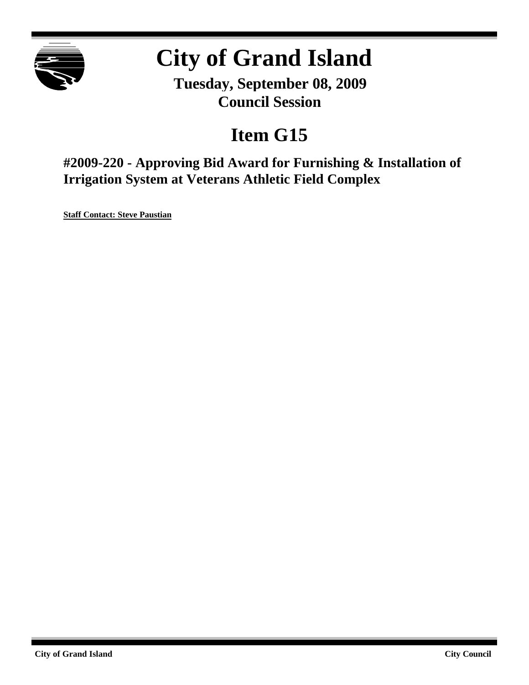

# **City of Grand Island**

**Tuesday, September 08, 2009 Council Session**

## **Item G15**

**#2009-220 - Approving Bid Award for Furnishing & Installation of Irrigation System at Veterans Athletic Field Complex**

**Staff Contact: Steve Paustian**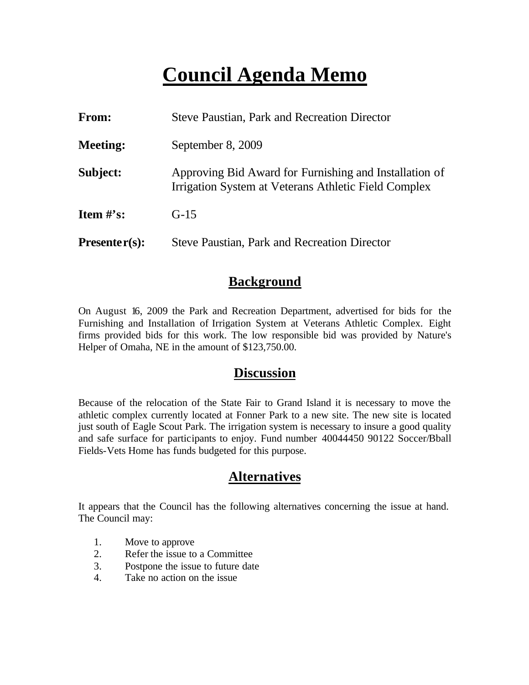## **Council Agenda Memo**

| From:           | <b>Steve Paustian, Park and Recreation Director</b>                                                            |  |
|-----------------|----------------------------------------------------------------------------------------------------------------|--|
| <b>Meeting:</b> | September 8, 2009                                                                                              |  |
| Subject:        | Approving Bid Award for Furnishing and Installation of<br>Irrigation System at Veterans Athletic Field Complex |  |
| Item $\#$ 's:   | $G-15$                                                                                                         |  |
| $Presenter(s):$ | <b>Steve Paustian, Park and Recreation Director</b>                                                            |  |

### **Background**

On August 16, 2009 the Park and Recreation Department, advertised for bids for the Furnishing and Installation of Irrigation System at Veterans Athletic Complex. Eight firms provided bids for this work. The low responsible bid was provided by Nature's Helper of Omaha, NE in the amount of \$123,750.00.

### **Discussion**

Because of the relocation of the State Fair to Grand Island it is necessary to move the athletic complex currently located at Fonner Park to a new site. The new site is located just south of Eagle Scout Park. The irrigation system is necessary to insure a good quality and safe surface for participants to enjoy. Fund number 40044450 90122 Soccer/Bball Fields-Vets Home has funds budgeted for this purpose.

## **Alternatives**

It appears that the Council has the following alternatives concerning the issue at hand. The Council may:

- 1. Move to approve
- 2. Refer the issue to a Committee
- 3. Postpone the issue to future date
- 4. Take no action on the issue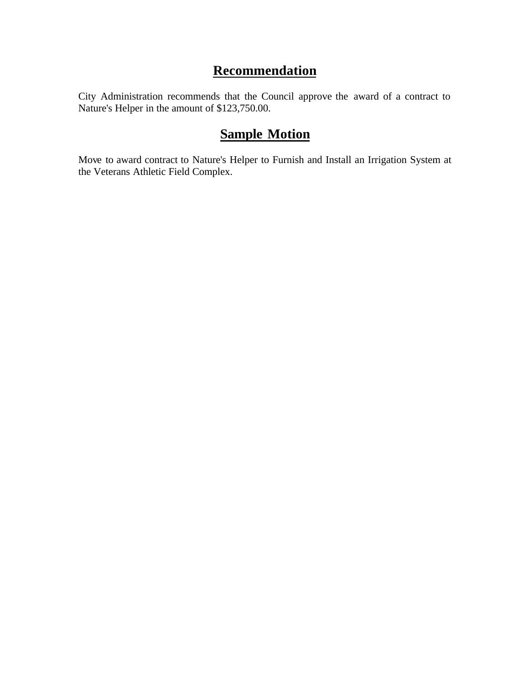## **Recommendation**

City Administration recommends that the Council approve the award of a contract to Nature's Helper in the amount of \$123,750.00.

## **Sample Motion**

Move to award contract to Nature's Helper to Furnish and Install an Irrigation System at the Veterans Athletic Field Complex.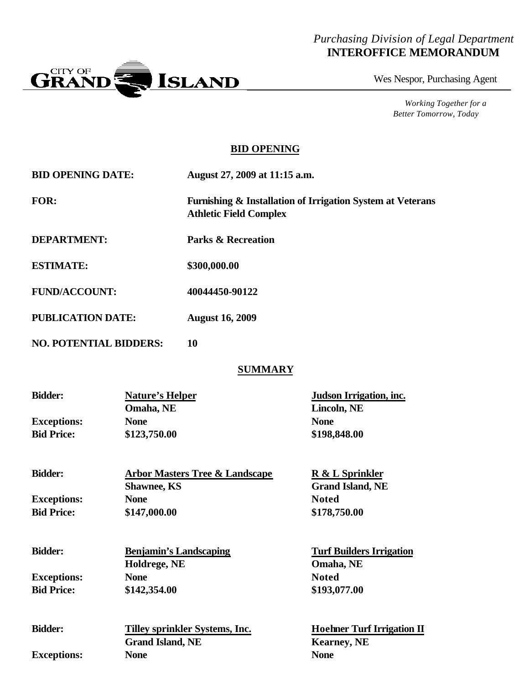#### *Purchasing Division of Legal Department* **INTEROFFICE MEMORANDUM**



Wes Nespor, Purchasing Agent

*Working Together for a Better Tomorrow, Today*

#### **BID OPENING**

| <b>BID OPENING DATE:</b> | August 27, 2009 at 11:15 a.m.                                                                          |
|--------------------------|--------------------------------------------------------------------------------------------------------|
| FOR:                     | <b>Furnishing &amp; Installation of Irrigation System at Veterans</b><br><b>Athletic Field Complex</b> |

- **DEPARTMENT: Parks & Recreation**
- **ESTIMATE: \$300,000.00**
- **FUND/ACCOUNT: 40044450-90122**
- **PUBLICATION DATE: August 16, 2009**
- **NO. POTENTIAL BIDDERS: 10**

#### **SUMMARY**

| <b>Bidder:</b>     | Nature's Helper                           | Judson Irrigation, inc. |
|--------------------|-------------------------------------------|-------------------------|
|                    | Omaha, NE                                 | Lincoln, NE             |
| <b>Exceptions:</b> | <b>None</b>                               | <b>None</b>             |
| <b>Bid Price:</b>  | \$123,750.00                              | \$198,848.00            |
| <b>Bidder:</b>     | <b>Arbor Masters Tree &amp; Landscape</b> | R & L Sprinkler         |
|                    | <b>Shawnee, KS</b>                        | <b>Grand Island, NE</b> |
| <b>Exceptions:</b> | <b>None</b>                               | <b>Noted</b>            |
| <b>Bid Price:</b>  | \$147,000.00                              | \$178,750.00            |

| <b>Bidder:</b>     | <b>Benjamin's Landscaping</b> | <b>Turf Builders Irrigation</b> |
|--------------------|-------------------------------|---------------------------------|
|                    | Holdrege, NE                  | Omaha, NE                       |
| <b>Exceptions:</b> | <b>None</b>                   | <b>Noted</b>                    |
| <b>Bid Price:</b>  | \$142,354.00                  | \$193,077.00                    |
|                    |                               |                                 |

| <b>Bidder:</b>     | Tilley sprinkler Systems, Inc. | <b>Hoehner Turf Irrigation II</b> |
|--------------------|--------------------------------|-----------------------------------|
|                    | <b>Grand Island, NE</b>        | <b>Kearney</b> , NE               |
| <b>Exceptions:</b> | None                           | <b>None</b>                       |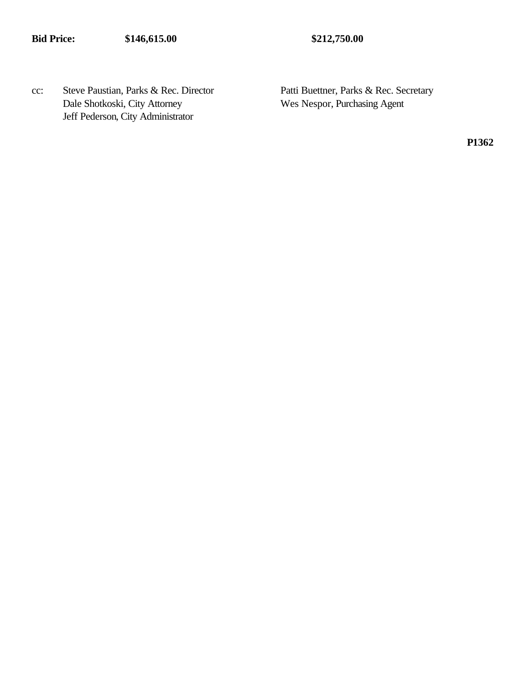cc: Steve Paustian, Parks & Rec. Director Patti Buettner, Parks & Rec. Secretary Dale Shotkoski, City Attorney Wes Nespor, Purchasing Agent Jeff Pederson, City Administrator

**P1362**